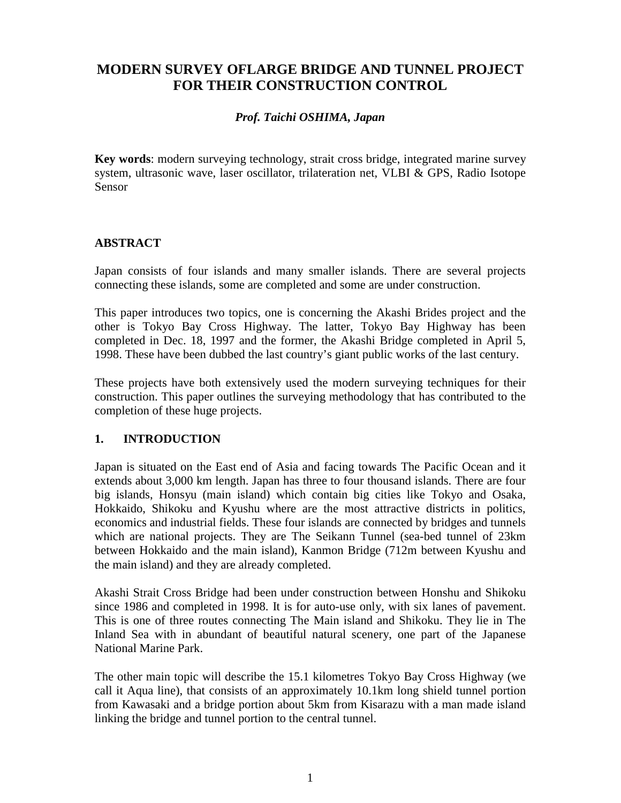# **MODERN SURVEY OFLARGE BRIDGE AND TUNNEL PROJECT FOR THEIR CONSTRUCTION CONTROL**

### *Prof. Taichi OSHIMA, Japan*

**Key words**: modern surveying technology, strait cross bridge, integrated marine survey system, ultrasonic wave, laser oscillator, trilateration net, VLBI & GPS, Radio Isotope Sensor

### **ABSTRACT**

Japan consists of four islands and many smaller islands. There are several projects connecting these islands, some are completed and some are under construction.

This paper introduces two topics, one is concerning the Akashi Brides project and the other is Tokyo Bay Cross Highway. The latter, Tokyo Bay Highway has been completed in Dec. 18, 1997 and the former, the Akashi Bridge completed in April 5, 1998. These have been dubbed the last country's giant public works of the last century.

These projects have both extensively used the modern surveying techniques for their construction. This paper outlines the surveying methodology that has contributed to the completion of these huge projects.

## **1. INTRODUCTION**

Japan is situated on the East end of Asia and facing towards The Pacific Ocean and it extends about 3,000 km length. Japan has three to four thousand islands. There are four big islands, Honsyu (main island) which contain big cities like Tokyo and Osaka, Hokkaido, Shikoku and Kyushu where are the most attractive districts in politics, economics and industrial fields. These four islands are connected by bridges and tunnels which are national projects. They are The Seikann Tunnel (sea-bed tunnel of 23km between Hokkaido and the main island), Kanmon Bridge (712m between Kyushu and the main island) and they are already completed.

Akashi Strait Cross Bridge had been under construction between Honshu and Shikoku since 1986 and completed in 1998. It is for auto-use only, with six lanes of pavement. This is one of three routes connecting The Main island and Shikoku. They lie in The Inland Sea with in abundant of beautiful natural scenery, one part of the Japanese National Marine Park.

The other main topic will describe the 15.1 kilometres Tokyo Bay Cross Highway (we call it Aqua line), that consists of an approximately 10.1km long shield tunnel portion from Kawasaki and a bridge portion about 5km from Kisarazu with a man made island linking the bridge and tunnel portion to the central tunnel.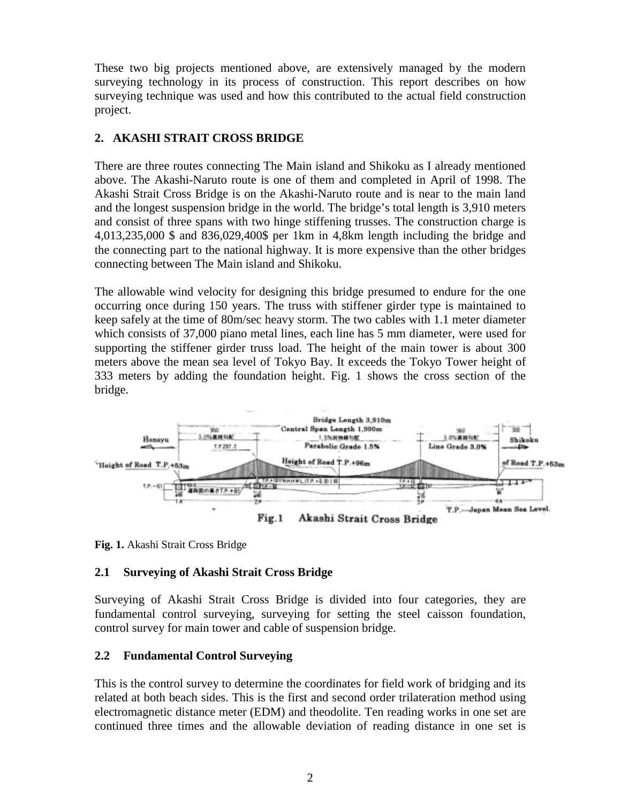These two big projects mentioned above, are extensively managed by the modern surveying technology in its process of construction. This report describes on how surveying technique was used and how this contributed to the actual field construction project.

### **2. AKASHI STRAIT CROSS BRIDGE**

There are three routes connecting The Main island and Shikoku as I already mentioned above. The Akashi-Naruto route is one of them and completed in April of 1998. The Akashi Strait Cross Bridge is on the Akashi-Naruto route and is near to the main land and the longest suspension bridge in the world. The bridge's total length is 3,910 meters and consist of three spans with two hinge stiffening trusses. The construction charge is 4,013,235,000 \$ and 836,029,400\$ per 1km in 4,8km length including the bridge and the connecting part to the national highway. It is more expensive than the other bridges connecting between The Main island and Shikoku.

The allowable wind velocity for designing this bridge presumed to endure for the one occurring once during 150 years. The truss with stiffener girder type is maintained to keep safely at the time of 80m/sec heavy storm. The two cables with 1.1 meter diameter which consists of 37,000 piano metal lines, each line has 5 mm diameter, were used for supporting the stiffener girder truss load. The height of the main tower is about 300 meters above the mean sea level of Tokyo Bay. It exceeds the Tokyo Tower height of 333 meters by adding the foundation height. Fig. 1 shows the cross section of the bridge.



**Fig. 1.** Akashi Strait Cross Bridge

### **2.1 Surveying of Akashi Strait Cross Bridge**

Surveying of Akashi Strait Cross Bridge is divided into four categories, they are fundamental control surveying, surveying for setting the steel caisson foundation, control survey for main tower and cable of suspension bridge.

### **2.2 Fundamental Control Surveying**

This is the control survey to determine the coordinates for field work of bridging and its related at both beach sides. This is the first and second order trilateration method using electromagnetic distance meter (EDM) and theodolite. Ten reading works in one set are continued three times and the allowable deviation of reading distance in one set is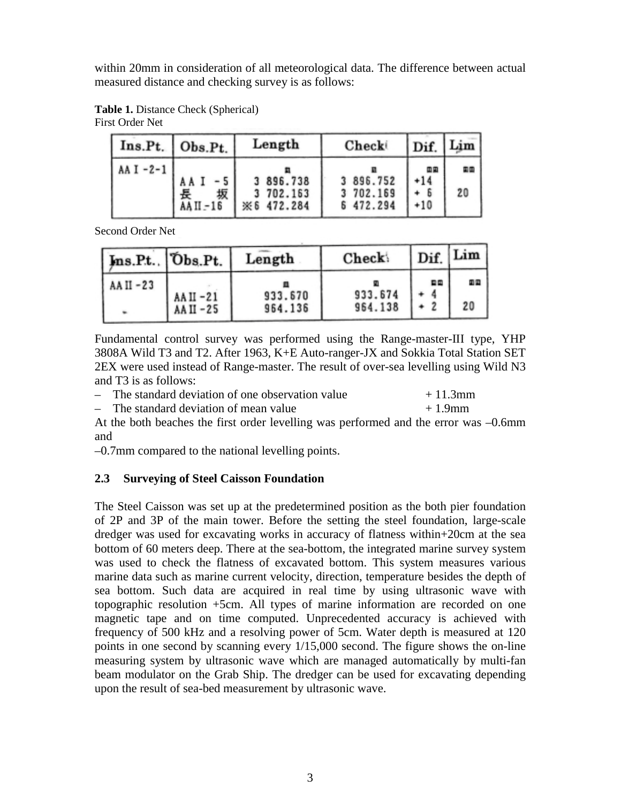within 20mm in consideration of all meteorological data. The difference between actual measured distance and checking survey is as follows:

**Table 1.** Distance Check (Spherical) First Order Net

|             | Ins.Pt. Obs.Pt.  | Length                             | Check                               | Dif. Lim    |          |
|-------------|------------------|------------------------------------|-------------------------------------|-------------|----------|
| AA I $-2-1$ | 坂<br>$AAII - 16$ | 3 896.738<br>702.163<br>※6 472.284 | 3 896.752<br>3 702.169<br>6 472.294 | 面回<br>$+10$ | 国国<br>20 |

Second Order Net

| Ins.Pt. Obs.Pt. |             | Length  | Check:  | Dif. | Lim |
|-----------------|-------------|---------|---------|------|-----|
| AA II -23       | $AAII - 21$ | 933.670 | 933.674 | 自国   | 面面  |
| ۰               | AA II -25   | 964.136 | 964.138 |      | 20  |

Fundamental control survey was performed using the Range-master-III type, YHP 3808A Wild T3 and T2. After 1963, K+E Auto-ranger-JX and Sokkia Total Station SET 2EX were used instead of Range-master. The result of over-sea levelling using Wild N3 and T3 is as follows:

– The standard deviation of one observation value  $+ 11.3 \text{mm}$ 

 $-$  The standard deviation of mean value  $+1.9$ mm

At the both beaches the first order levelling was performed and the error was –0.6mm and

–0.7mm compared to the national levelling points.

### **2.3 Surveying of Steel Caisson Foundation**

The Steel Caisson was set up at the predetermined position as the both pier foundation of 2P and 3P of the main tower. Before the setting the steel foundation, large-scale dredger was used for excavating works in accuracy of flatness within+20cm at the sea bottom of 60 meters deep. There at the sea-bottom, the integrated marine survey system was used to check the flatness of excavated bottom. This system measures various marine data such as marine current velocity, direction, temperature besides the depth of sea bottom. Such data are acquired in real time by using ultrasonic wave with topographic resolution +5cm. All types of marine information are recorded on one magnetic tape and on time computed. Unprecedented accuracy is achieved with frequency of 500 kHz and a resolving power of 5cm. Water depth is measured at 120 points in one second by scanning every 1/15,000 second. The figure shows the on-line measuring system by ultrasonic wave which are managed automatically by multi-fan beam modulator on the Grab Ship. The dredger can be used for excavating depending upon the result of sea-bed measurement by ultrasonic wave.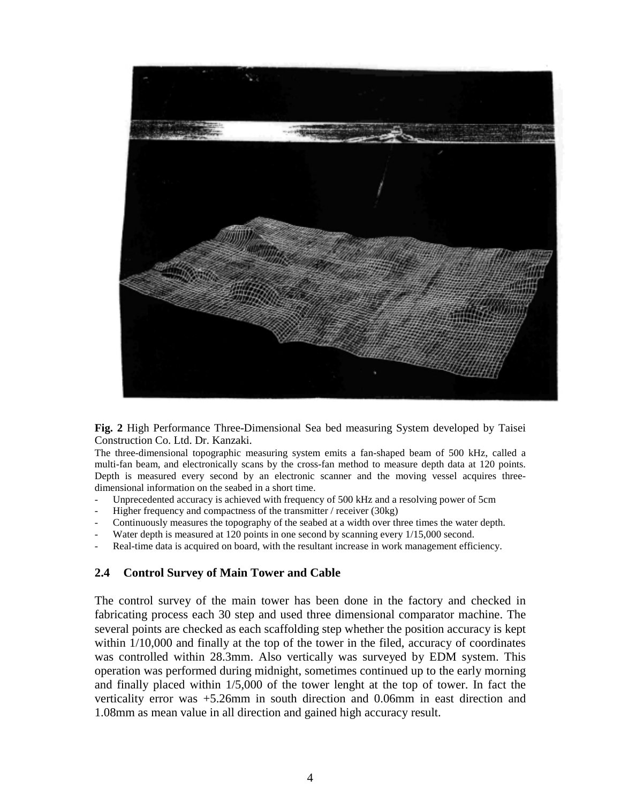

**Fig. 2** High Performance Three-Dimensional Sea bed measuring System developed by Taisei Construction Co. Ltd. Dr. Kanzaki.

The three-dimensional topographic measuring system emits a fan-shaped beam of 500 kHz, called a multi-fan beam, and electronically scans by the cross-fan method to measure depth data at 120 points. Depth is measured every second by an electronic scanner and the moving vessel acquires threedimensional information on the seabed in a short time.

- Unprecedented accuracy is achieved with frequency of 500 kHz and a resolving power of 5cm
- Higher frequency and compactness of the transmitter / receiver (30kg)
- Continuously measures the topography of the seabed at a width over three times the water depth.
- Water depth is measured at 120 points in one second by scanning every 1/15,000 second.
- Real-time data is acquired on board, with the resultant increase in work management efficiency.

#### **2.4 Control Survey of Main Tower and Cable**

The control survey of the main tower has been done in the factory and checked in fabricating process each 30 step and used three dimensional comparator machine. The several points are checked as each scaffolding step whether the position accuracy is kept within  $1/10,000$  and finally at the top of the tower in the filed, accuracy of coordinates was controlled within 28.3mm. Also vertically was surveyed by EDM system. This operation was performed during midnight, sometimes continued up to the early morning and finally placed within 1/5,000 of the tower lenght at the top of tower. In fact the verticality error was +5.26mm in south direction and 0.06mm in east direction and 1.08mm as mean value in all direction and gained high accuracy result.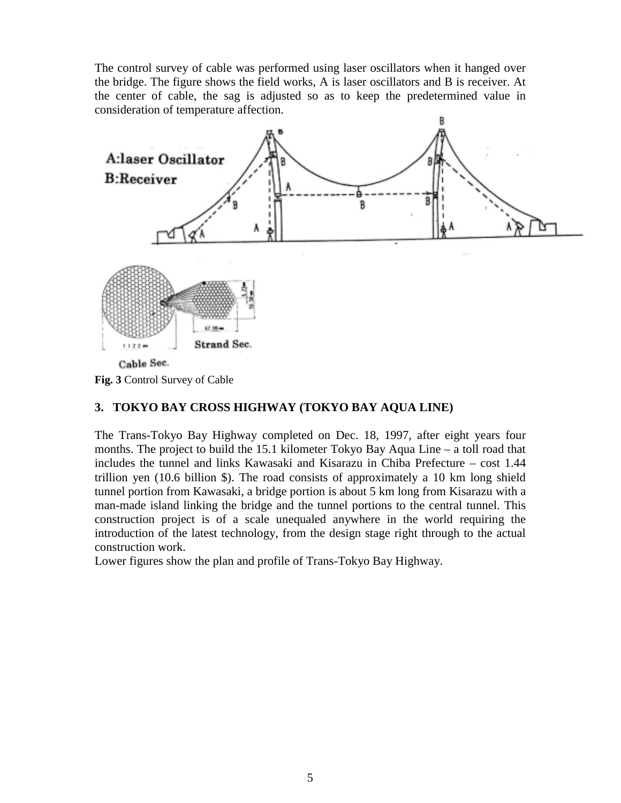The control survey of cable was performed using laser oscillators when it hanged over the bridge. The figure shows the field works, A is laser oscillators and B is receiver. At the center of cable, the sag is adjusted so as to keep the predetermined value in consideration of temperature affection.



**Fig. 3** Control Survey of Cable

### **3. TOKYO BAY CROSS HIGHWAY (TOKYO BAY AQUA LINE)**

The Trans-Tokyo Bay Highway completed on Dec. 18, 1997, after eight years four months. The project to build the 15.1 kilometer Tokyo Bay Aqua Line – a toll road that includes the tunnel and links Kawasaki and Kisarazu in Chiba Prefecture – cost 1.44 trillion yen (10.6 billion \$). The road consists of approximately a 10 km long shield tunnel portion from Kawasaki, a bridge portion is about 5 km long from Kisarazu with a man-made island linking the bridge and the tunnel portions to the central tunnel. This construction project is of a scale unequaled anywhere in the world requiring the introduction of the latest technology, from the design stage right through to the actual construction work.

Lower figures show the plan and profile of Trans-Tokyo Bay Highway.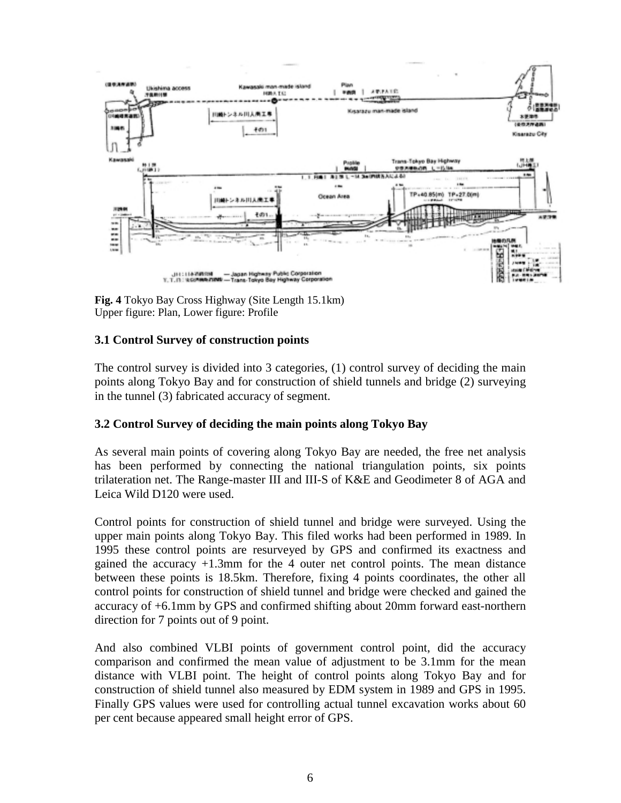

**Fig. 4** Tokyo Bay Cross Highway (Site Length 15.1km) Upper figure: Plan, Lower figure: Profile

### **3.1 Control Survey of construction points**

The control survey is divided into 3 categories, (1) control survey of deciding the main points along Tokyo Bay and for construction of shield tunnels and bridge (2) surveying in the tunnel (3) fabricated accuracy of segment.

### **3.2 Control Survey of deciding the main points along Tokyo Bay**

As several main points of covering along Tokyo Bay are needed, the free net analysis has been performed by connecting the national triangulation points, six points trilateration net. The Range-master III and III-S of K&E and Geodimeter 8 of AGA and Leica Wild D120 were used.

Control points for construction of shield tunnel and bridge were surveyed. Using the upper main points along Tokyo Bay. This filed works had been performed in 1989. In 1995 these control points are resurveyed by GPS and confirmed its exactness and gained the accuracy +1.3mm for the 4 outer net control points. The mean distance between these points is 18.5km. Therefore, fixing 4 points coordinates, the other all control points for construction of shield tunnel and bridge were checked and gained the accuracy of +6.1mm by GPS and confirmed shifting about 20mm forward east-northern direction for 7 points out of 9 point.

And also combined VLBI points of government control point, did the accuracy comparison and confirmed the mean value of adjustment to be 3.1mm for the mean distance with VLBI point. The height of control points along Tokyo Bay and for construction of shield tunnel also measured by EDM system in 1989 and GPS in 1995. Finally GPS values were used for controlling actual tunnel excavation works about 60 per cent because appeared small height error of GPS.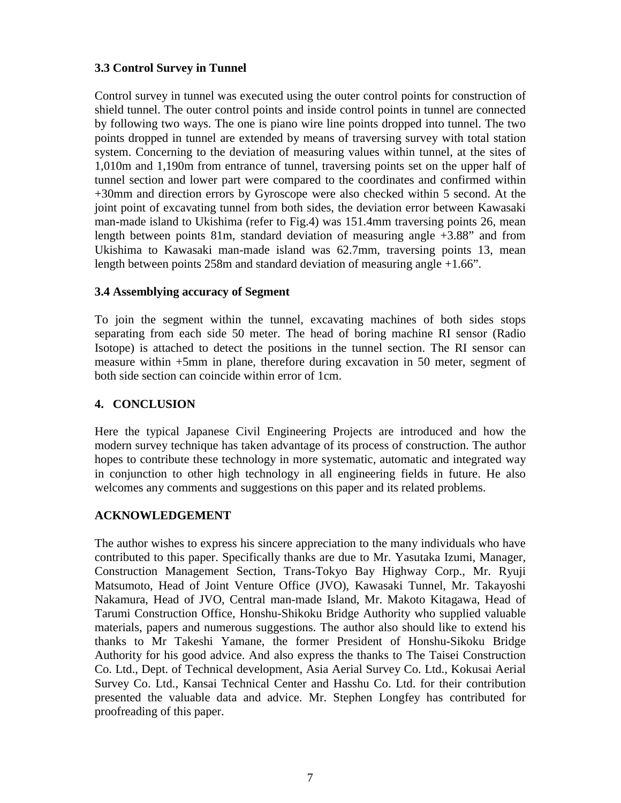#### **3.3 Control Survey in Tunnel**

Control survey in tunnel was executed using the outer control points for construction of shield tunnel. The outer control points and inside control points in tunnel are connected by following two ways. The one is piano wire line points dropped into tunnel. The two points dropped in tunnel are extended by means of traversing survey with total station system. Concerning to the deviation of measuring values within tunnel, at the sites of 1,010m and 1,190m from entrance of tunnel, traversing points set on the upper half of tunnel section and lower part were compared to the coordinates and confirmed within +30mm and direction errors by Gyroscope were also checked within 5 second. At the joint point of excavating tunnel from both sides, the deviation error between Kawasaki man-made island to Ukishima (refer to Fig.4) was 151.4mm traversing points 26, mean length between points 81m, standard deviation of measuring angle +3.88" and from Ukishima to Kawasaki man-made island was 62.7mm, traversing points 13, mean length between points 258m and standard deviation of measuring angle +1.66".

#### **3.4 Assemblying accuracy of Segment**

To join the segment within the tunnel, excavating machines of both sides stops separating from each side 50 meter. The head of boring machine RI sensor (Radio Isotope) is attached to detect the positions in the tunnel section. The RI sensor can measure within +5mm in plane, therefore during excavation in 50 meter, segment of both side section can coincide within error of 1cm.

#### **4. CONCLUSION**

Here the typical Japanese Civil Engineering Projects are introduced and how the modern survey technique has taken advantage of its process of construction. The author hopes to contribute these technology in more systematic, automatic and integrated way in conjunction to other high technology in all engineering fields in future. He also welcomes any comments and suggestions on this paper and its related problems.

### **ACKNOWLEDGEMENT**

The author wishes to express his sincere appreciation to the many individuals who have contributed to this paper. Specifically thanks are due to Mr. Yasutaka Izumi, Manager, Construction Management Section, Trans-Tokyo Bay Highway Corp., Mr. Ryuji Matsumoto, Head of Joint Venture Office (JVO), Kawasaki Tunnel, Mr. Takayoshi Nakamura, Head of JVO, Central man-made Island, Mr. Makoto Kitagawa, Head of Tarumi Construction Office, Honshu-Shikoku Bridge Authority who supplied valuable materials, papers and numerous suggestions. The author also should like to extend his thanks to Mr Takeshi Yamane, the former President of Honshu-Sikoku Bridge Authority for his good advice. And also express the thanks to The Taisei Construction Co. Ltd., Dept. of Technical development, Asia Aerial Survey Co. Ltd., Kokusai Aerial Survey Co. Ltd., Kansai Technical Center and Hasshu Co. Ltd. for their contribution presented the valuable data and advice. Mr. Stephen Longfey has contributed for proofreading of this paper.